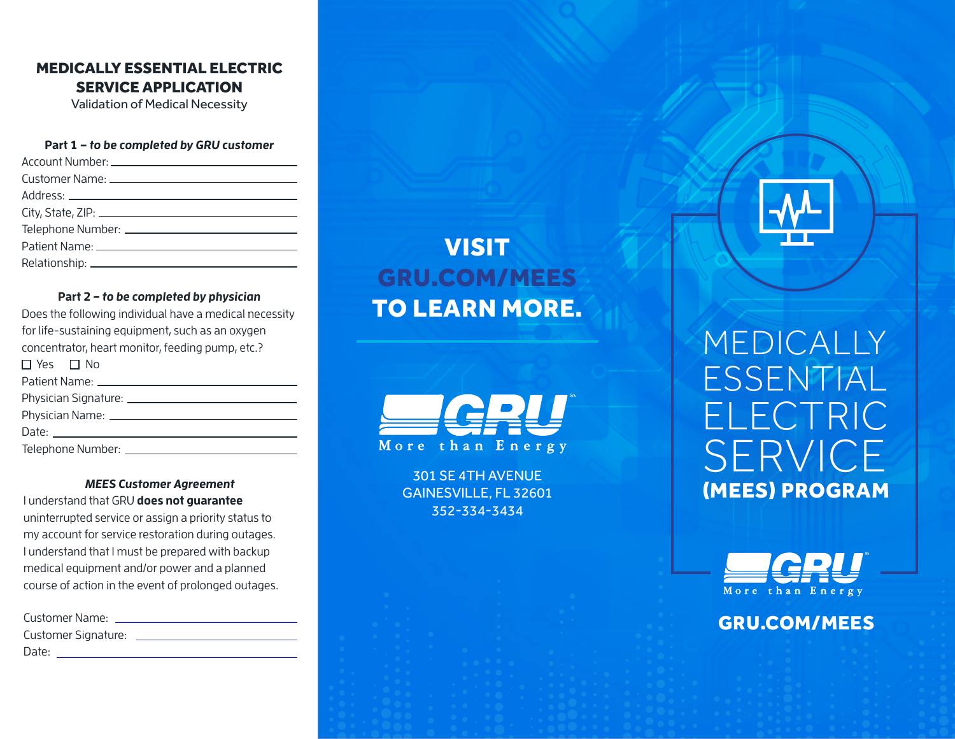## MEDICALLY ESSENTIAL ELECTRIC SERVICE APPLICATION

Validation of Medical Necessity

#### **Part 1 – to be completed by GRU customer**

#### **Part 2 – to be completed by physician**

| Does the following individual have a medical necessity |  |  |  |  |  |  |
|--------------------------------------------------------|--|--|--|--|--|--|
| for life-sustaining equipment, such as an oxygen       |  |  |  |  |  |  |
| concentrator, heart monitor, feeding pump, etc.?       |  |  |  |  |  |  |
| $\Box$ Yes $\Box$ No                                   |  |  |  |  |  |  |
| Patient Name: ________________________________         |  |  |  |  |  |  |
|                                                        |  |  |  |  |  |  |
| Physician Name: _____________________________          |  |  |  |  |  |  |
|                                                        |  |  |  |  |  |  |
|                                                        |  |  |  |  |  |  |
|                                                        |  |  |  |  |  |  |

#### **MEES Customer Agreement**

I understand that GRU **does not guarantee** uninterrupted service or assign a priority status to my account for service restoration during outages. I understand that I must be prepared with backup medical equipment and/or power and a planned course of action in the event of prolonged outages.

| Customer Name:      |  |
|---------------------|--|
| Customer Signature: |  |
| Date:               |  |

# VISIT GRU.COM/MEES TO LEARN MORE.

More than Energy

301 SE 4TH AVENUE GAINESVILLE, FL 32601 352-334-3434

MEDICALLY ESSENTIAL ELECTRIC SERVICE (MEES) PROGRAM



## GRU.COM/MEES